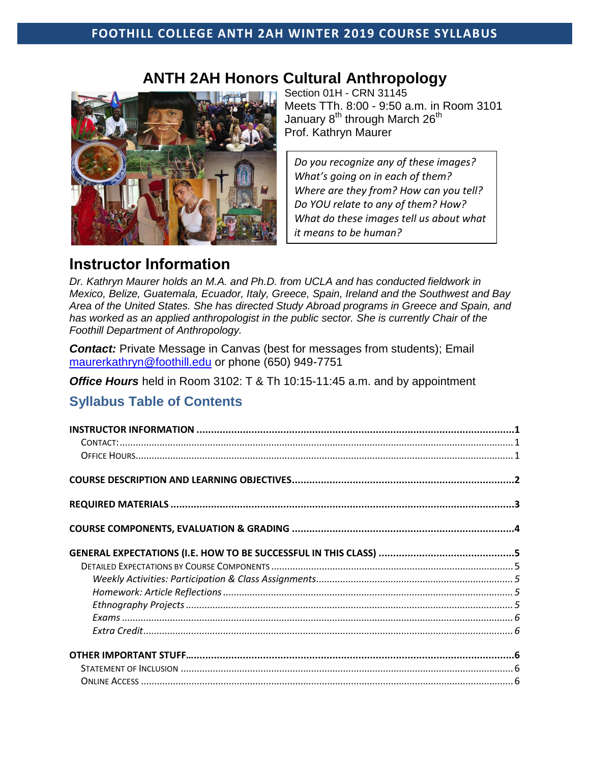## **FOOTHILL COLLEGE ANTH 2AH WINTER 2019 COURSE SYLLABUS**

## **ANTH 2AH Honors Cultural Anthropology**



Section 01H - CRN 31145 Meets TTh. 8:00 - 9:50 a.m. in Room 3101 January  $8^{th}$  through March 26<sup>th</sup> Prof. Kathryn Maurer

*Do you recognize any of these images? What's going on in each of them? Where are they from? How can you tell? Do YOU relate to any of them? How? What do these images tell us about what it means to be human?* 

## <span id="page-0-0"></span>**Instructor Information**

*Dr. Kathryn Maurer holds an M.A. and Ph.D. from UCLA and has conducted fieldwork in Mexico, Belize, Guatemala, Ecuador, Italy, Greece, Spain, Ireland and the Southwest and Bay Area of the United States. She has directed Study Abroad programs in Greece and Spain, and has worked as an applied anthropologist in the public sector. She is currently Chair of the Foothill Department of Anthropology.* 

<span id="page-0-1"></span>**Contact:** Private Message in Canvas (best for messages from students); Email [maurerkathryn@foothill.edu](mailto:maurerkathryn@foothill.edu) or phone (650) 949-7751

<span id="page-0-2"></span>*Office Hours* held in Room 3102: T & Th 10:15-11:45 a.m. and by appointment

## **Syllabus Table of Contents**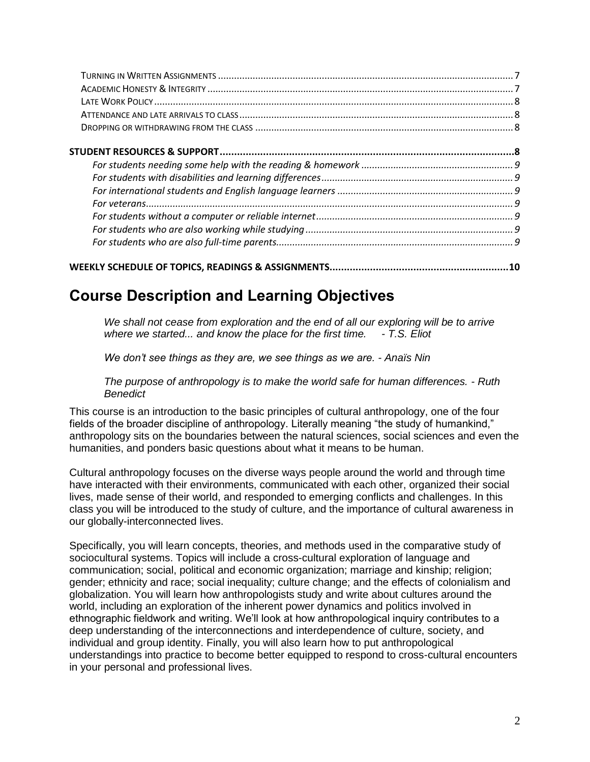|--|--|

# <span id="page-1-0"></span>**Course Description and Learning Objectives**

*We shall not cease from exploration and the end of all our exploring will be to arrive where we started... and know the place for the first time. - T.S. Eliot* 

*We don't see things as they are, we see things as we are. - Anaïs Nin*

*The purpose of anthropology is to make the world safe for human differences. - Ruth Benedict*

This course is an introduction to the basic principles of cultural anthropology, one of the four fields of the broader discipline of anthropology. Literally meaning "the study of humankind," anthropology sits on the boundaries between the natural sciences, social sciences and even the humanities, and ponders basic questions about what it means to be human.

Cultural anthropology focuses on the diverse ways people around the world and through time have interacted with their environments, communicated with each other, organized their social lives, made sense of their world, and responded to emerging conflicts and challenges. In this class you will be introduced to the study of culture, and the importance of cultural awareness in our globally-interconnected lives.

Specifically, you will learn concepts, theories, and methods used in the comparative study of sociocultural systems. Topics will include a cross-cultural exploration of language and communication; social, political and economic organization; marriage and kinship; religion; gender; ethnicity and race; social inequality; culture change; and the effects of colonialism and globalization. You will learn how anthropologists study and write about cultures around the world, including an exploration of the inherent power dynamics and politics involved in ethnographic fieldwork and writing. We'll look at how anthropological inquiry contributes to a deep understanding of the interconnections and interdependence of culture, society, and individual and group identity. Finally, you will also learn how to put anthropological understandings into practice to become better equipped to respond to cross-cultural encounters in your personal and professional lives.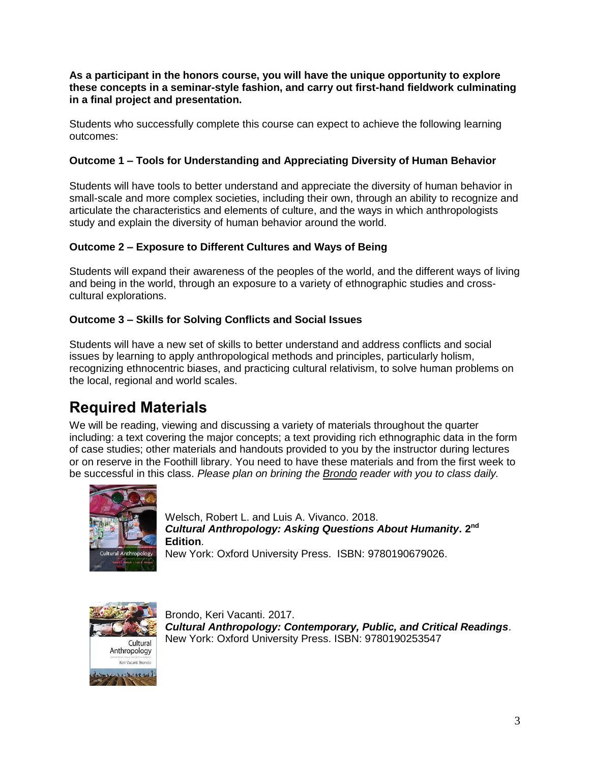**As a participant in the honors course, you will have the unique opportunity to explore these concepts in a seminar-style fashion, and carry out first-hand fieldwork culminating in a final project and presentation.**

Students who successfully complete this course can expect to achieve the following learning outcomes:

#### **Outcome 1 – Tools for Understanding and Appreciating Diversity of Human Behavior**

Students will have tools to better understand and appreciate the diversity of human behavior in small-scale and more complex societies, including their own, through an ability to recognize and articulate the characteristics and elements of culture, and the ways in which anthropologists study and explain the diversity of human behavior around the world.

#### **Outcome 2 – Exposure to Different Cultures and Ways of Being**

Students will expand their awareness of the peoples of the world, and the different ways of living and being in the world, through an exposure to a variety of ethnographic studies and crosscultural explorations.

#### **Outcome 3 – Skills for Solving Conflicts and Social Issues**

Students will have a new set of skills to better understand and address conflicts and social issues by learning to apply anthropological methods and principles, particularly holism, recognizing ethnocentric biases, and practicing cultural relativism, to solve human problems on the local, regional and world scales.

# <span id="page-2-0"></span>**Required Materials**

We will be reading, viewing and discussing a variety of materials throughout the quarter including: a text covering the major concepts; a text providing rich ethnographic data in the form of case studies; other materials and handouts provided to you by the instructor during lectures or on reserve in the Foothill library. You need to have these materials and from the first week to be successful in this class. *Please plan on brining the Brondo reader with you to class daily.* 



Welsch, Robert L. and Luis A. Vivanco. 2018. *Cultural Anthropology: Asking Questions About Humanity***. 2 nd Edition**.

New York: Oxford University Press. ISBN: 9780190679026.



Brondo, Keri Vacanti. 2017. *Cultural Anthropology: Contemporary, Public, and Critical Readings*. New York: Oxford University Press. ISBN: 9780190253547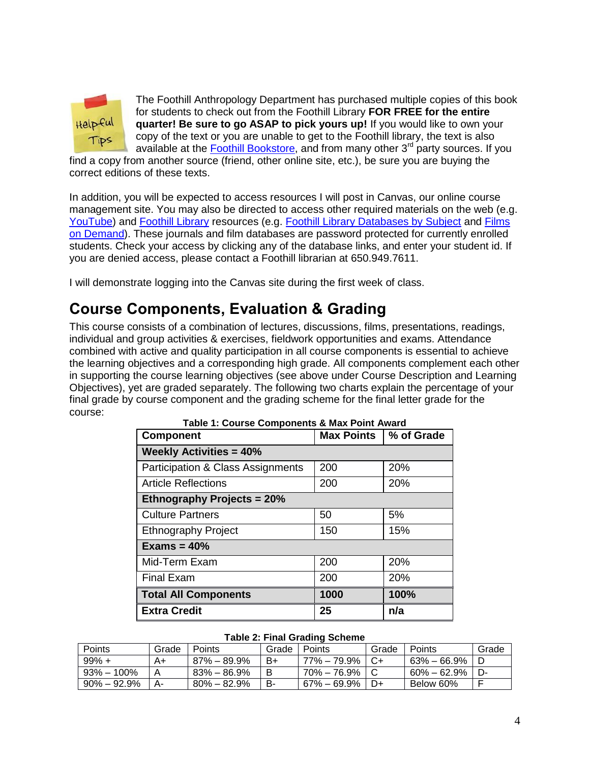

The Foothill Anthropology Department has purchased multiple copies of this book for students to check out from the Foothill Library **FOR FREE for the entire quarter! Be sure to go ASAP to pick yours up!** If you would like to own your copy of the text or you are unable to get to the Foothill library, the text is also available at the [Foothill Bookstore,](http://books.foothill.edu/home.aspx) and from many other 3<sup>rd</sup> party sources. If you

find a copy from another source (friend, other online site, etc.), be sure you are buying the correct editions of these texts.

In addition, you will be expected to access resources I will post in Canvas, our online course management site. You may also be directed to access other required materials on the web (e.g. [YouTube\)](https://www.youtube.com/) and [Foothill Library](https://foothill.edu/library/) resources (e.g. [Foothill Library Databases by Subject](http://libguides.foothill.edu/az.php) and Films [on Demand\)](http://library.foothill.edu:2048/login?url=http://digital.films.com/PortalPlaylists.aspx?aid=17476). These journals and film databases are password protected for currently enrolled students. Check your access by clicking any of the database links, and enter your student id. If you are denied access, please contact a Foothill librarian at 650.949.7611.

I will demonstrate logging into the Canvas site during the first week of class.

# <span id="page-3-0"></span>**Course Components, Evaluation & Grading**

This course consists of a combination of lectures, discussions, films, presentations, readings, individual and group activities & exercises, fieldwork opportunities and exams. Attendance combined with active and quality participation in all course components is essential to achieve the learning objectives and a corresponding high grade. All components complement each other in supporting the course learning objectives (see above under Course Description and Learning Objectives), yet are graded separately. The following two charts explain the percentage of your final grade by course component and the grading scheme for the final letter grade for the course:

| <b>Component</b>                             | <b>Max Points</b> | % of Grade |  |  |  |
|----------------------------------------------|-------------------|------------|--|--|--|
| <b>Weekly Activities = 40%</b>               |                   |            |  |  |  |
| <b>Participation &amp; Class Assignments</b> | 200               | 20%        |  |  |  |
| <b>Article Reflections</b>                   | 200               | 20%        |  |  |  |
| <b>Ethnography Projects = 20%</b>            |                   |            |  |  |  |
| <b>Culture Partners</b>                      | 50                | 5%         |  |  |  |
| <b>Ethnography Project</b>                   | 150               | 15%        |  |  |  |
| Exams = $40\%$                               |                   |            |  |  |  |
| Mid-Term Exam                                | 200               | 20%        |  |  |  |
| <b>Final Exam</b>                            | 200               | 20%        |  |  |  |
| <b>Total All Components</b>                  | 1000              | 100%       |  |  |  |
| <b>Extra Credit</b>                          | 25                | n/a        |  |  |  |

**Table 1: Course Components & Max Point Award**

#### **Table 2: Final Grading Scheme**

| Points          | Grade | <b>Points</b>   | Grade | <b>Points</b>     | Grade         | Points          | Grade |
|-----------------|-------|-----------------|-------|-------------------|---------------|-----------------|-------|
| $99\% +$        | A+    | $87\% - 89.9\%$ | B+    | 77% – 79.9%       | $^{\circ}$ C+ | 63% – 66.9%     | - D   |
| $93\% - 100\%$  |       | $83\% - 86.9\%$ |       | $70\% - 76.9\%$ C |               | $60\% - 62.9\%$ | D-    |
| $90\% - 92.9\%$ | А-    | $80\% - 82.9\%$ | в-    | $67\% - 69.9\%$   | D+            | Below 60%       |       |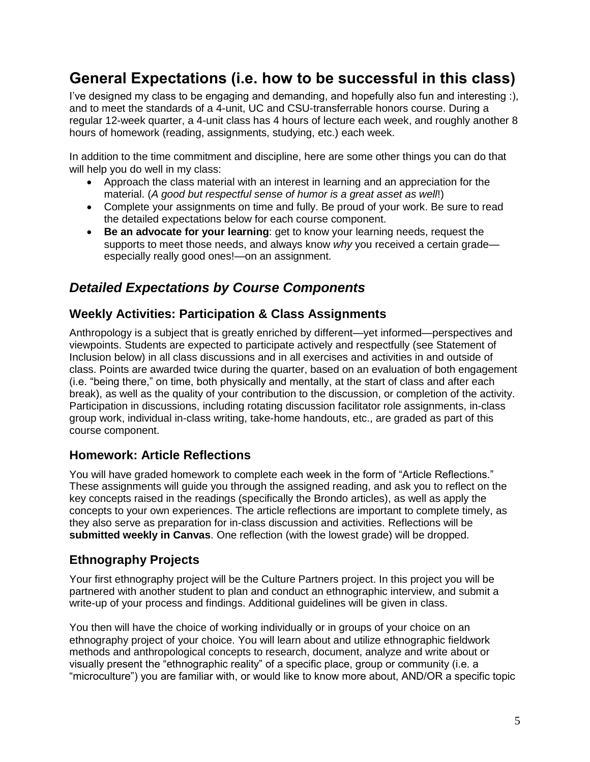# <span id="page-4-0"></span>**General Expectations (i.e. how to be successful in this class)**

I've designed my class to be engaging and demanding, and hopefully also fun and interesting :), and to meet the standards of a 4-unit, UC and CSU-transferrable honors course. During a regular 12-week quarter, a 4-unit class has 4 hours of lecture each week, and roughly another 8 hours of homework (reading, assignments, studying, etc.) each week.

In addition to the time commitment and discipline, here are some other things you can do that will help you do well in my class:

- Approach the class material with an interest in learning and an appreciation for the material. (*A good but respectful sense of humor is a great asset as well*!)
- Complete your assignments on time and fully. Be proud of your work. Be sure to read the detailed expectations below for each course component.
- **Be an advocate for your learning**: get to know your learning needs, request the supports to meet those needs, and always know *why* you received a certain grade especially really good ones!—on an assignment.

## <span id="page-4-1"></span>*Detailed Expectations by Course Components*

## <span id="page-4-2"></span>**Weekly Activities: Participation & Class Assignments**

Anthropology is a subject that is greatly enriched by different—yet informed—perspectives and viewpoints. Students are expected to participate actively and respectfully (see Statement of Inclusion below) in all class discussions and in all exercises and activities in and outside of class. Points are awarded twice during the quarter, based on an evaluation of both engagement (i.e. "being there," on time, both physically and mentally, at the start of class and after each break), as well as the quality of your contribution to the discussion, or completion of the activity. Participation in discussions, including rotating discussion facilitator role assignments, in-class group work, individual in-class writing, take-home handouts, etc., are graded as part of this course component.

## <span id="page-4-3"></span>**Homework: Article Reflections**

You will have graded homework to complete each week in the form of "Article Reflections." These assignments will guide you through the assigned reading, and ask you to reflect on the key concepts raised in the readings (specifically the Brondo articles), as well as apply the concepts to your own experiences. The article reflections are important to complete timely, as they also serve as preparation for in-class discussion and activities. Reflections will be **submitted weekly in Canvas**. One reflection (with the lowest grade) will be dropped.

## <span id="page-4-4"></span>**Ethnography Projects**

Your first ethnography project will be the Culture Partners project. In this project you will be partnered with another student to plan and conduct an ethnographic interview, and submit a write-up of your process and findings. Additional guidelines will be given in class.

You then will have the choice of working individually or in groups of your choice on an ethnography project of your choice. You will learn about and utilize ethnographic fieldwork methods and anthropological concepts to research, document, analyze and write about or visually present the "ethnographic reality" of a specific place, group or community (i.e. a "microculture") you are familiar with, or would like to know more about, AND/OR a specific topic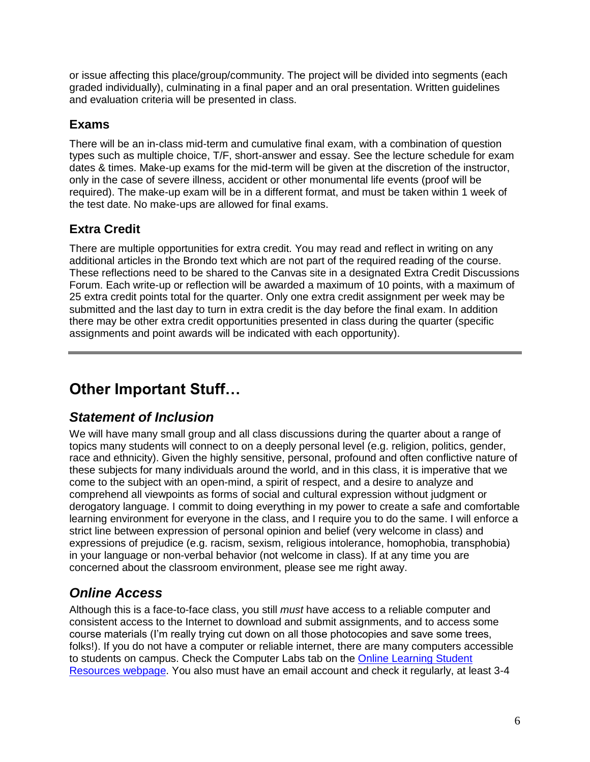or issue affecting this place/group/community. The project will be divided into segments (each graded individually), culminating in a final paper and an oral presentation. Written guidelines and evaluation criteria will be presented in class.

## <span id="page-5-0"></span>**Exams**

There will be an in-class mid-term and cumulative final exam, with a combination of question types such as multiple choice, T/F, short-answer and essay. See the lecture schedule for exam dates & times. Make-up exams for the mid-term will be given at the discretion of the instructor, only in the case of severe illness, accident or other monumental life events (proof will be required). The make-up exam will be in a different format, and must be taken within 1 week of the test date. No make-ups are allowed for final exams.

## <span id="page-5-1"></span>**Extra Credit**

There are multiple opportunities for extra credit. You may read and reflect in writing on any additional articles in the Brondo text which are not part of the required reading of the course. These reflections need to be shared to the Canvas site in a designated Extra Credit Discussions Forum. Each write-up or reflection will be awarded a maximum of 10 points, with a maximum of 25 extra credit points total for the quarter. Only one extra credit assignment per week may be submitted and the last day to turn in extra credit is the day before the final exam. In addition there may be other extra credit opportunities presented in class during the quarter (specific assignments and point awards will be indicated with each opportunity).

# <span id="page-5-2"></span>**Other Important Stuff…**

## <span id="page-5-3"></span>*Statement of Inclusion*

We will have many small group and all class discussions during the quarter about a range of topics many students will connect to on a deeply personal level (e.g. religion, politics, gender, race and ethnicity). Given the highly sensitive, personal, profound and often conflictive nature of these subjects for many individuals around the world, and in this class, it is imperative that we come to the subject with an open-mind, a spirit of respect, and a desire to analyze and comprehend all viewpoints as forms of social and cultural expression without judgment or derogatory language. I commit to doing everything in my power to create a safe and comfortable learning environment for everyone in the class, and I require you to do the same. I will enforce a strict line between expression of personal opinion and belief (very welcome in class) and expressions of prejudice (e.g. racism, sexism, religious intolerance, homophobia, transphobia) in your language or non-verbal behavior (not welcome in class). If at any time you are concerned about the classroom environment, please see me right away.

## <span id="page-5-4"></span>*Online Access*

Although this is a face-to-face class, you still *must* have access to a reliable computer and consistent access to the Internet to download and submit assignments, and to access some course materials (I'm really trying cut down on all those photocopies and save some trees, folks!). If you do not have a computer or reliable internet, there are many computers accessible to students on campus. Check the Computer Labs tab on the [Online Learning Student](https://www.foothill.edu/onlinelearning/studentresources.php)  [Resources webpage.](https://www.foothill.edu/onlinelearning/studentresources.php) You also must have an email account and check it regularly, at least 3-4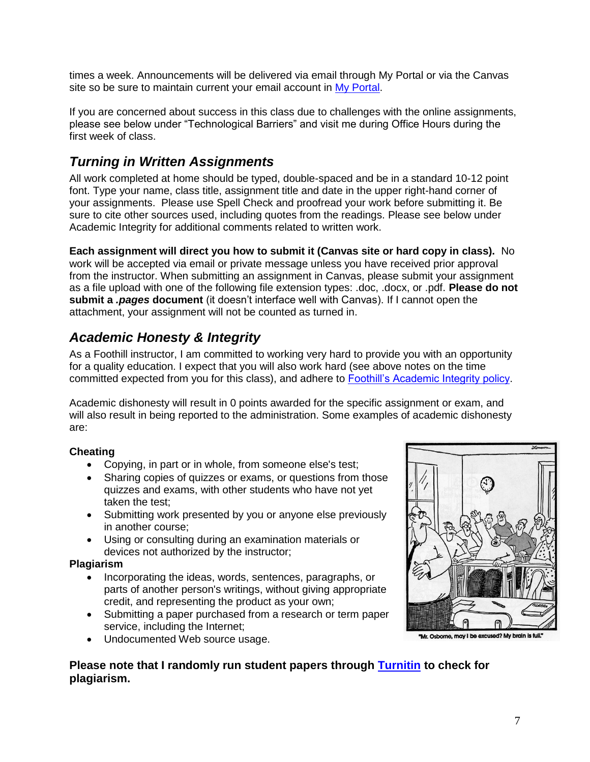times a week. Announcements will be delivered via email through [My Portal](https://myportal.fhda.edu/cp/home/displaylogin) or via the Canvas site so be sure to maintain current your email account in [My Portal.](https://ssoshib.fhda.edu/idp/profile/cas/login?execution=e1s1)

If you are concerned about success in this class due to challenges with the online assignments, please see below under "Technological Barriers" and visit me during Office Hours during the first week of class.

## <span id="page-6-0"></span>*Turning in Written Assignments*

All work completed at home should be typed, double-spaced and be in a standard 10-12 point font. Type your name, class title, assignment title and date in the upper right-hand corner of your assignments. Please use Spell Check and proofread your work before submitting it. Be sure to cite other sources used, including quotes from the readings. Please see below under Academic Integrity for additional comments related to written work.

**Each assignment will direct you how to submit it (Canvas site or hard copy in class).** No work will be accepted via email or private message unless you have received prior approval from the instructor. When submitting an assignment in Canvas, please submit your assignment as a file upload with one of the following file extension types: .doc, .docx, or .pdf. **Please do not submit a** *.pages* **document** (it doesn't interface well with Canvas). If I cannot open the attachment, your assignment will not be counted as turned in.

## <span id="page-6-1"></span>*Academic Honesty & Integrity*

As a Foothill instructor, I am committed to working very hard to provide you with an opportunity for a quality education. I expect that you will also work hard (see above notes on the time committed expected from you for this class), and adhere to [Foothill's Academic Integrity policy.](http://www.foothill.edu/services/documents/Z-Card.pdf)

Academic dishonesty will result in 0 points awarded for the specific assignment or exam, and will also result in being reported to the administration. Some examples of academic dishonesty are:

#### **Cheating**

- Copying, in part or in whole, from someone else's test;
- Sharing copies of quizzes or exams, or questions from those quizzes and exams, with other students who have not yet taken the test;
- Submitting work presented by you or anyone else previously in another course;
- Using or consulting during an examination materials or devices not authorized by the instructor;

#### **Plagiarism**

- Incorporating the ideas, words, sentences, paragraphs, or parts of another person's writings, without giving appropriate credit, and representing the product as your own;
- Submitting a paper purchased from a research or term paper service, including the Internet;
- Undocumented Web source usage.

"Mr. Osborne, may I be excused? My brain is full."

## **Please note that I randomly run student papers through [Turnitin](http://turnitin.com/en_us/home) to check for plagiarism.**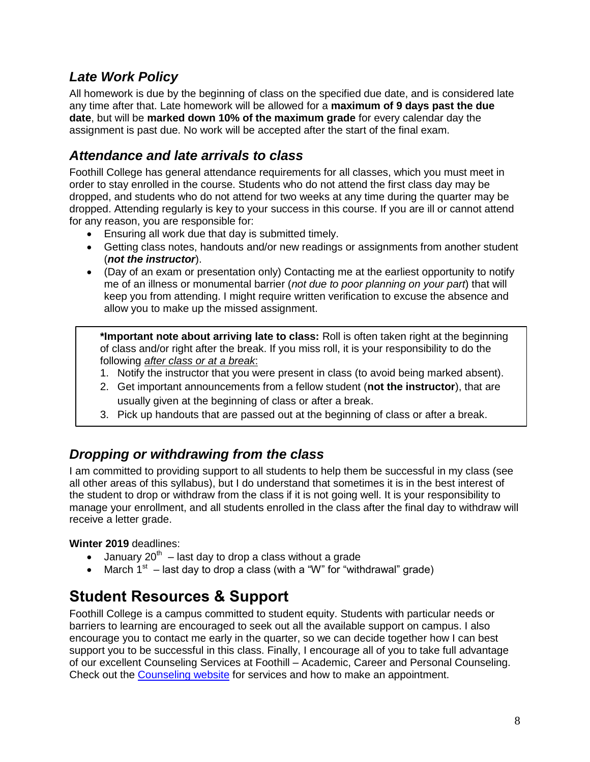## <span id="page-7-0"></span>*Late Work Policy*

All homework is due by the beginning of class on the specified due date, and is considered late any time after that. Late homework will be allowed for a **maximum of 9 days past the due date**, but will be **marked down 10% of the maximum grade** for every calendar day the assignment is past due. No work will be accepted after the start of the final exam.

## <span id="page-7-1"></span>*Attendance and late arrivals to class*

Foothill College has general attendance requirements for all classes, which you must meet in order to stay enrolled in the course. Students who do not attend the first class day may be dropped, and students who do not attend for two weeks at any time during the quarter may be dropped. Attending regularly is key to your success in this course. If you are ill or cannot attend for any reason, you are responsible for:

- Ensuring all work due that day is submitted timely.
- Getting class notes, handouts and/or new readings or assignments from another student (*not the instructor*).
- (Day of an exam or presentation only) Contacting me at the earliest opportunity to notify me of an illness or monumental barrier (*not due to poor planning on your part*) that will keep you from attending. I might require written verification to excuse the absence and allow you to make up the missed assignment.

**\*Important note about arriving late to class:** Roll is often taken right at the beginning of class and/or right after the break. If you miss roll, it is your responsibility to do the following *after class or at a break*:

- 1. Notify the instructor that you were present in class (to avoid being marked absent).
- 2. Get important announcements from a fellow student (**not the instructor**), that are usually given at the beginning of class or after a break.
- 3. Pick up handouts that are passed out at the beginning of class or after a break.

## <span id="page-7-2"></span>*Dropping or withdrawing from the class*

I am committed to providing support to all students to help them be successful in my class (see all other areas of this syllabus), but I do understand that sometimes it is in the best interest of the student to drop or withdraw from the class if it is not going well. It is your responsibility to manage your enrollment, and all students enrolled in the class after the final day to withdraw will receive a letter grade.

#### **Winter 2019** deadlines:

- January 20<sup>th</sup> last day to drop a class without a grade
- March  $1<sup>st</sup>$  last day to drop a class (with a "W" for "withdrawal" grade)

# <span id="page-7-3"></span>**Student Resources & Support**

Foothill College is a campus committed to student equity. Students with particular needs or barriers to learning are encouraged to seek out all the available support on campus. I also encourage you to contact me early in the quarter, so we can decide together how I can best support you to be successful in this class. Finally, I encourage all of you to take full advantage of our excellent Counseling Services at Foothill – Academic, Career and Personal Counseling. Check out the [Counseling website](https://foothill.edu/counseling/) for services and how to make an appointment.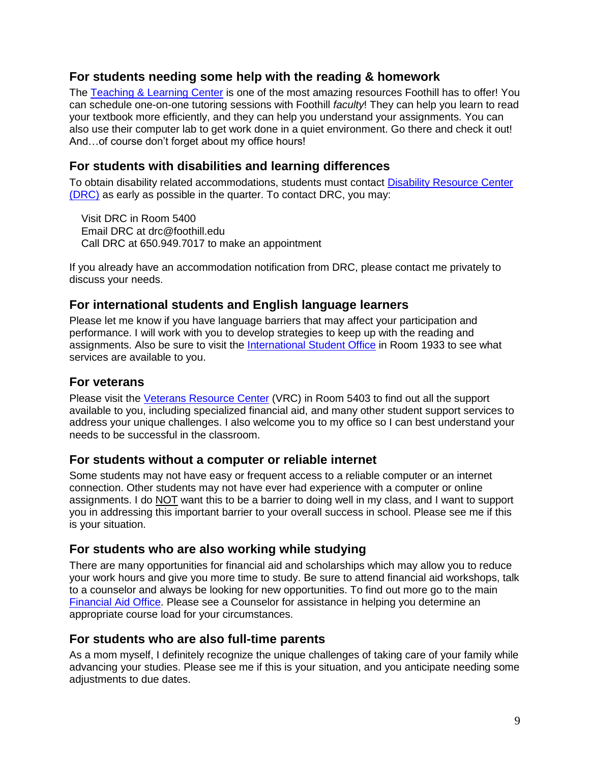### <span id="page-8-0"></span>**For students needing some help with the reading & homework**

The [Teaching & Learning Center](http://www.foothill.edu/tlc/) is one of the most amazing resources Foothill has to offer! You can schedule one-on-one tutoring sessions with Foothill *faculty*! They can help you learn to read your textbook more efficiently, and they can help you understand your assignments. You can also use their computer lab to get work done in a quiet environment. Go there and check it out! And…of course don't forget about my office hours!

## <span id="page-8-1"></span>**For students with disabilities and learning differences**

To obtain disability related accommodations, students must contact [Disability Resource Center](https://foothill.edu/drc/index.html)  [\(DRC\)](https://foothill.edu/drc/index.html) as early as possible in the quarter. To contact DRC, you may:

 Visit DRC in Room 5400 Email DRC at drc@foothill.edu Call DRC at 650.949.7017 to make an appointment

If you already have an accommodation notification from DRC, please contact me privately to discuss your needs.

#### <span id="page-8-2"></span>**For international students and English language learners**

Please let me know if you have language barriers that may affect your participation and performance. I will work with you to develop strategies to keep up with the reading and assignments. Also be sure to visit the [International Student Office](http://www.foothill.edu/international/curr_main.php) in Room 1933 to see what services are available to you.

#### <span id="page-8-3"></span>**For veterans**

Please visit the [Veterans Resource Center](http://www.foothill.edu/vet/) (VRC) in Room 5403 to find out all the support available to you, including specialized financial aid, and many other student support services to address your unique challenges. I also welcome you to my office so I can best understand your needs to be successful in the classroom.

#### <span id="page-8-4"></span>**For students without a computer or reliable internet**

Some students may not have easy or frequent access to a reliable computer or an internet connection. Other students may not have ever had experience with a computer or online assignments. I do NOT want this to be a barrier to doing well in my class, and I want to support you in addressing this important barrier to your overall success in school. Please see me if this is your situation.

#### <span id="page-8-5"></span>**For students who are also working while studying**

There are many opportunities for financial aid and scholarships which may allow you to reduce your work hours and give you more time to study. Be sure to attend financial aid workshops, talk to a counselor and always be looking for new opportunities. To find out more go to the main [Financial Aid Office.](https://foothill.edu/financialaid/) Please see a Counselor for assistance in helping you determine an appropriate course load for your circumstances.

#### <span id="page-8-6"></span>**For students who are also full-time parents**

As a mom myself, I definitely recognize the unique challenges of taking care of your family while advancing your studies. Please see me if this is your situation, and you anticipate needing some adjustments to due dates.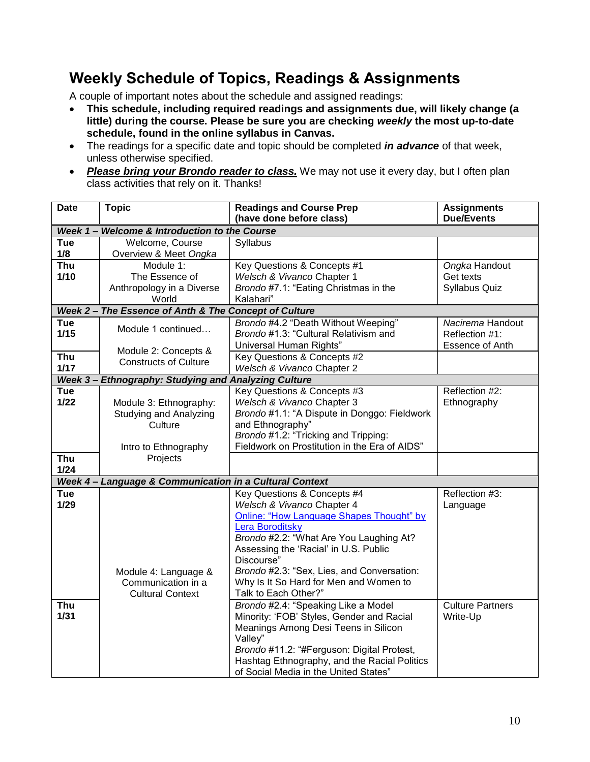# <span id="page-9-0"></span>**Weekly Schedule of Topics, Readings & Assignments**

A couple of important notes about the schedule and assigned readings:

- **This schedule, including required readings and assignments due, will likely change (a little) during the course. Please be sure you are checking** *weekly* **the most up-to-date schedule, found in the online syllabus in Canvas.**
- The readings for a specific date and topic should be completed *in advance* of that week, unless otherwise specified.
- Please bring your Brondo reader to class. We may not use it every day, but I often plan class activities that rely on it. Thanks!

| <b>Due/Events</b><br>(have done before class)                                              |  |  |  |  |  |
|--------------------------------------------------------------------------------------------|--|--|--|--|--|
|                                                                                            |  |  |  |  |  |
| Week 1 - Welcome & Introduction to the Course                                              |  |  |  |  |  |
| Tue<br>Welcome, Course<br>Syllabus                                                         |  |  |  |  |  |
| 1/8<br>Overview & Meet Ongka                                                               |  |  |  |  |  |
| Module 1:<br>Key Questions & Concepts #1<br>Ongka Handout<br><b>Thu</b>                    |  |  |  |  |  |
| 1/10<br>Welsch & Vivanco Chapter 1<br>The Essence of<br>Get texts                          |  |  |  |  |  |
| Brondo #7.1: "Eating Christmas in the<br>Anthropology in a Diverse<br><b>Syllabus Quiz</b> |  |  |  |  |  |
| World<br>Kalahari"                                                                         |  |  |  |  |  |
| Week 2 - The Essence of Anth & The Concept of Culture                                      |  |  |  |  |  |
| Tue<br>Brondo #4.2 "Death Without Weeping"<br>Nacirema Handout<br>Module 1 continued       |  |  |  |  |  |
| 1/15<br>Brondo #1.3: "Cultural Relativism and<br>Reflection #1:                            |  |  |  |  |  |
| Universal Human Rights"<br>Essence of Anth<br>Module 2: Concepts &                         |  |  |  |  |  |
| Thu<br>Key Questions & Concepts #2<br><b>Constructs of Culture</b>                         |  |  |  |  |  |
| 1/17<br>Welsch & Vivanco Chapter 2                                                         |  |  |  |  |  |
| Week 3 - Ethnography: Studying and Analyzing Culture                                       |  |  |  |  |  |
| Tue<br>Key Questions & Concepts #3<br>Reflection #2:                                       |  |  |  |  |  |
| $1/22$<br>Welsch & Vivanco Chapter 3<br>Module 3: Ethnography:<br>Ethnography              |  |  |  |  |  |
| Brondo #1.1: "A Dispute in Donggo: Fieldwork<br><b>Studying and Analyzing</b>              |  |  |  |  |  |
| and Ethnography"<br>Culture                                                                |  |  |  |  |  |
| Brondo #1.2: "Tricking and Tripping:                                                       |  |  |  |  |  |
| Fieldwork on Prostitution in the Era of AIDS"<br>Intro to Ethnography                      |  |  |  |  |  |
| Thu<br>Projects                                                                            |  |  |  |  |  |
| 1/24                                                                                       |  |  |  |  |  |
| Week 4 - Language & Communication in a Cultural Context                                    |  |  |  |  |  |
| Key Questions & Concepts #4<br><b>Tue</b><br>Reflection #3:                                |  |  |  |  |  |
| 1/29<br>Welsch & Vivanco Chapter 4<br>Language                                             |  |  |  |  |  |
| Online: "How Language Shapes Thought" by                                                   |  |  |  |  |  |
| <b>Lera Boroditsky</b>                                                                     |  |  |  |  |  |
| Brondo #2.2: "What Are You Laughing At?                                                    |  |  |  |  |  |
| Assessing the 'Racial' in U.S. Public                                                      |  |  |  |  |  |
| Discourse"                                                                                 |  |  |  |  |  |
| Brondo #2.3: "Sex, Lies, and Conversation:<br>Module 4: Language &                         |  |  |  |  |  |
| Why Is It So Hard for Men and Women to<br>Communication in a<br>Talk to Each Other?"       |  |  |  |  |  |
| <b>Cultural Context</b>                                                                    |  |  |  |  |  |
| Brondo #2.4: "Speaking Like a Model<br>Thu<br><b>Culture Partners</b><br>$1/31$            |  |  |  |  |  |
| Minority: 'FOB' Styles, Gender and Racial<br>Write-Up                                      |  |  |  |  |  |
| Meanings Among Desi Teens in Silicon<br>Valley"                                            |  |  |  |  |  |
| Brondo #11.2: "#Ferguson: Digital Protest,                                                 |  |  |  |  |  |
| Hashtag Ethnography, and the Racial Politics                                               |  |  |  |  |  |
| of Social Media in the United States"                                                      |  |  |  |  |  |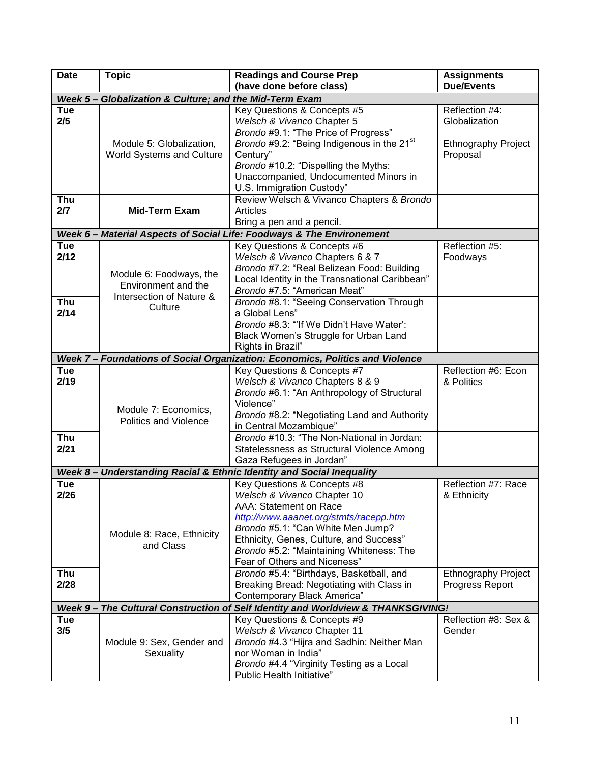| <b>Date</b>       | <b>Topic</b>                                            | <b>Readings and Course Prep</b><br>(have done before class)                      | <b>Assignments</b><br><b>Due/Events</b> |
|-------------------|---------------------------------------------------------|----------------------------------------------------------------------------------|-----------------------------------------|
|                   | Week 5 - Globalization & Culture; and the Mid-Term Exam |                                                                                  |                                         |
| Tue               |                                                         | Key Questions & Concepts #5                                                      | Reflection #4:                          |
| 2/5               |                                                         | Welsch & Vivanco Chapter 5<br>Brondo #9.1: "The Price of Progress"               | Globalization                           |
|                   | Module 5: Globalization,                                | Brondo #9.2: "Being Indigenous in the 21 <sup>st</sup>                           | <b>Ethnography Project</b>              |
|                   | World Systems and Culture                               | Century"                                                                         | Proposal                                |
|                   |                                                         | Brondo #10.2: "Dispelling the Myths:                                             |                                         |
|                   |                                                         | Unaccompanied, Undocumented Minors in                                            |                                         |
|                   |                                                         | U.S. Immigration Custody"                                                        |                                         |
| <b>Thu</b><br>2/7 | <b>Mid-Term Exam</b>                                    | Review Welsch & Vivanco Chapters & Brondo<br><b>Articles</b>                     |                                         |
|                   |                                                         | Bring a pen and a pencil.                                                        |                                         |
|                   |                                                         | Week 6 - Material Aspects of Social Life: Foodways & The Environement            |                                         |
| <b>Tue</b>        |                                                         | Key Questions & Concepts #6                                                      | Reflection #5:                          |
| 2/12              |                                                         | Welsch & Vivanco Chapters 6 & 7                                                  | Foodways                                |
|                   |                                                         | Brondo #7.2: "Real Belizean Food: Building                                       |                                         |
|                   | Module 6: Foodways, the<br>Environment and the          | Local Identity in the Transnational Caribbean"                                   |                                         |
|                   | Intersection of Nature &                                | Brondo #7.5: "American Meat"                                                     |                                         |
| Thu               | Culture                                                 | Brondo #8.1: "Seeing Conservation Through                                        |                                         |
| 2/14              |                                                         | a Global Lens"<br>Brondo #8.3: "If We Didn't Have Water':                        |                                         |
|                   |                                                         | Black Women's Struggle for Urban Land                                            |                                         |
|                   |                                                         | Rights in Brazil"                                                                |                                         |
|                   |                                                         | Week 7 - Foundations of Social Organization: Economics, Politics and Violence    |                                         |
| Tue               |                                                         | Key Questions & Concepts #7                                                      | Reflection #6: Econ                     |
| 2/19              |                                                         | Welsch & Vivanco Chapters 8 & 9                                                  | & Politics                              |
|                   |                                                         | Brondo #6.1: "An Anthropology of Structural                                      |                                         |
|                   | Module 7: Economics,                                    | Violence"                                                                        |                                         |
|                   | <b>Politics and Violence</b>                            | Brondo #8.2: "Negotiating Land and Authority<br>in Central Mozambique"           |                                         |
| Thu               |                                                         | Brondo #10.3: "The Non-National in Jordan:                                       |                                         |
| 2/21              |                                                         | Statelessness as Structural Violence Among                                       |                                         |
|                   |                                                         | Gaza Refugees in Jordan"                                                         |                                         |
|                   |                                                         | Week 8 - Understanding Racial & Ethnic Identity and Social Inequality            |                                         |
| Tue               |                                                         | Key Questions & Concepts #8                                                      | Reflection #7: Race                     |
| 2/26              |                                                         | Welsch & Vivanco Chapter 10                                                      | & Ethnicity                             |
|                   |                                                         | AAA: Statement on Race                                                           |                                         |
|                   |                                                         | http://www.aaanet.org/stmts/racepp.htm<br>Brondo #5.1: "Can White Men Jump?      |                                         |
|                   | Module 8: Race, Ethnicity                               | Ethnicity, Genes, Culture, and Success"                                          |                                         |
|                   | and Class                                               | Brondo #5.2: "Maintaining Whiteness: The                                         |                                         |
|                   |                                                         | Fear of Others and Niceness"                                                     |                                         |
| Thu               |                                                         | Brondo #5.4: "Birthdays, Basketball, and                                         | <b>Ethnography Project</b>              |
| 2/28              |                                                         | Breaking Bread: Negotiating with Class in                                        | Progress Report                         |
|                   |                                                         | Contemporary Black America"                                                      |                                         |
|                   |                                                         | Week 9- The Cultural Construction of Self Identity and Worldview & THANKSGIVING! |                                         |
| Tue<br>3/5        |                                                         | Key Questions & Concepts #9<br>Welsch & Vivanco Chapter 11                       | Reflection #8: Sex &<br>Gender          |
|                   | Module 9: Sex, Gender and                               | Brondo #4.3 "Hijra and Sadhin: Neither Man                                       |                                         |
|                   | Sexuality                                               | nor Woman in India"                                                              |                                         |
|                   |                                                         | Brondo #4.4 "Virginity Testing as a Local                                        |                                         |
|                   |                                                         | Public Health Initiative"                                                        |                                         |